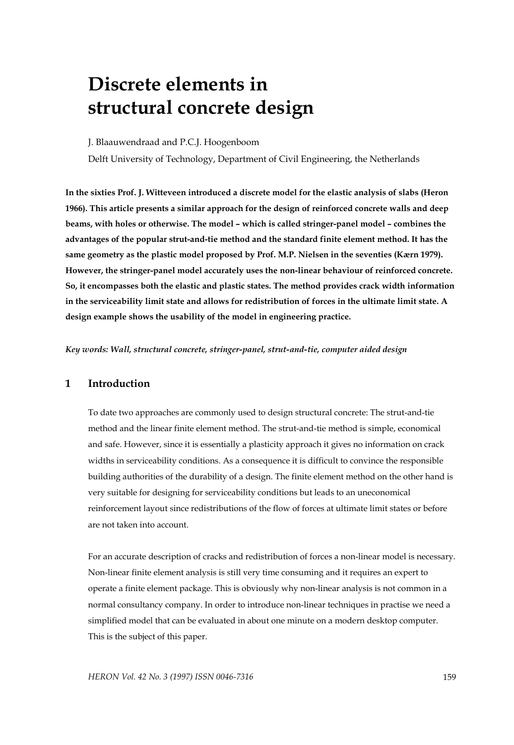# **Discrete elements in structural concrete design**

J. Blaauwendraad and P.C.J. Hoogenboom

Delft University of Technology, Department of Civil Engineering, the Netherlands

**In the sixties Prof. J. Witteveen introduced a discrete model for the elastic analysis of slabs (Heron 1966). This article presents a similar approach for the design of reinforced concrete walls and deep beams, with holes or otherwise. The model – which is called stringer-panel model – combines the advantages of the popular strut-and-tie method and the standard finite element method. It has the same geometry as the plastic model proposed by Prof. M.P. Nielsen in the seventies (Kærn 1979). However, the stringer-panel model accurately uses the non-linear behaviour of reinforced concrete. So, it encompasses both the elastic and plastic states. The method provides crack width information in the serviceability limit state and allows for redistribution of forces in the ultimate limit state. A design example shows the usability of the model in engineering practice.** 

*Key words: Wall, structural concrete, stringer-panel, strut-and-tie, computer aided design* 

## **1 Introduction**

To date two approaches are commonly used to design structural concrete: The strut-and-tie method and the linear finite element method. The strut-and-tie method is simple, economical and safe. However, since it is essentially a plasticity approach it gives no information on crack widths in serviceability conditions. As a consequence it is difficult to convince the responsible building authorities of the durability of a design. The finite element method on the other hand is very suitable for designing for serviceability conditions but leads to an uneconomical reinforcement layout since redistributions of the flow of forces at ultimate limit states or before are not taken into account.

For an accurate description of cracks and redistribution of forces a non-linear model is necessary. Non-linear finite element analysis is still very time consuming and it requires an expert to operate a finite element package. This is obviously why non-linear analysis is not common in a normal consultancy company. In order to introduce non-linear techniques in practise we need a simplified model that can be evaluated in about one minute on a modern desktop computer. This is the subject of this paper.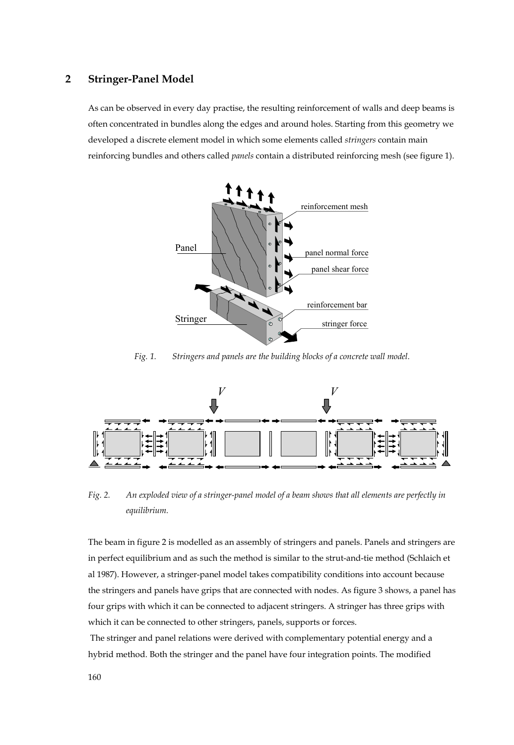#### **2 Stringer-Panel Model**

As can be observed in every day practise, the resulting reinforcement of walls and deep beams is often concentrated in bundles along the edges and around holes. Starting from this geometry we developed a discrete element model in which some elements called *stringers* contain main reinforcing bundles and others called *panels* contain a distributed reinforcing mesh (see figure 1).



*Fig. 1. Stringers and panels are the building blocks of a concrete wall model.* 



*Fig. 2. An exploded view of a stringer-panel model of a beam shows that all elements are perfectly in equilibrium.* 

The beam in figure 2 is modelled as an assembly of stringers and panels. Panels and stringers are in perfect equilibrium and as such the method is similar to the strut-and-tie method (Schlaich et al 1987). However, a stringer-panel model takes compatibility conditions into account because the stringers and panels have grips that are connected with nodes. As figure 3 shows, a panel has four grips with which it can be connected to adjacent stringers. A stringer has three grips with which it can be connected to other stringers, panels, supports or forces.

 The stringer and panel relations were derived with complementary potential energy and a hybrid method. Both the stringer and the panel have four integration points. The modified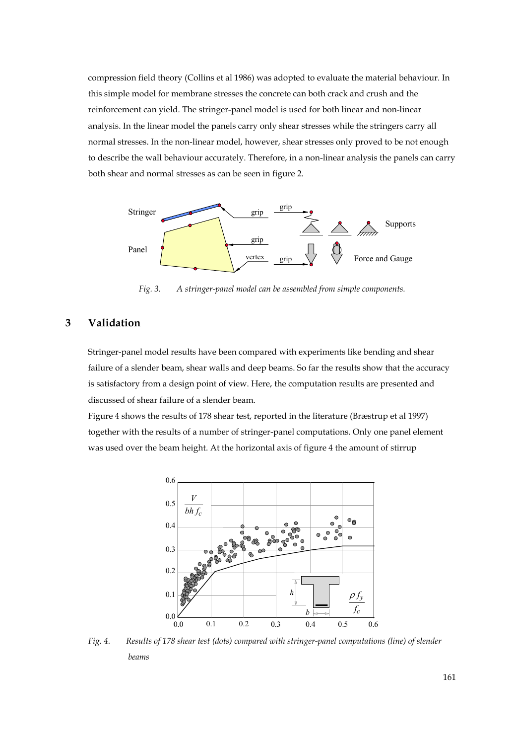compression field theory (Collins et al 1986) was adopted to evaluate the material behaviour. In this simple model for membrane stresses the concrete can both crack and crush and the reinforcement can yield. The stringer-panel model is used for both linear and non-linear analysis. In the linear model the panels carry only shear stresses while the stringers carry all normal stresses. In the non-linear model, however, shear stresses only proved to be not enough to describe the wall behaviour accurately. Therefore, in a non-linear analysis the panels can carry both shear and normal stresses as can be seen in figure 2.



*Fig. 3. A stringer-panel model can be assembled from simple components.* 

## **3 Validation**

Stringer-panel model results have been compared with experiments like bending and shear failure of a slender beam, shear walls and deep beams. So far the results show that the accuracy is satisfactory from a design point of view. Here, the computation results are presented and discussed of shear failure of a slender beam.

Figure 4 shows the results of 178 shear test, reported in the literature (Bræstrup et al 1997) together with the results of a number of stringer-panel computations. Only one panel element was used over the beam height. At the horizontal axis of figure 4 the amount of stirrup



*Fig. 4. Results of 178 shear test (dots) compared with stringer-panel computations (line) of slender beams*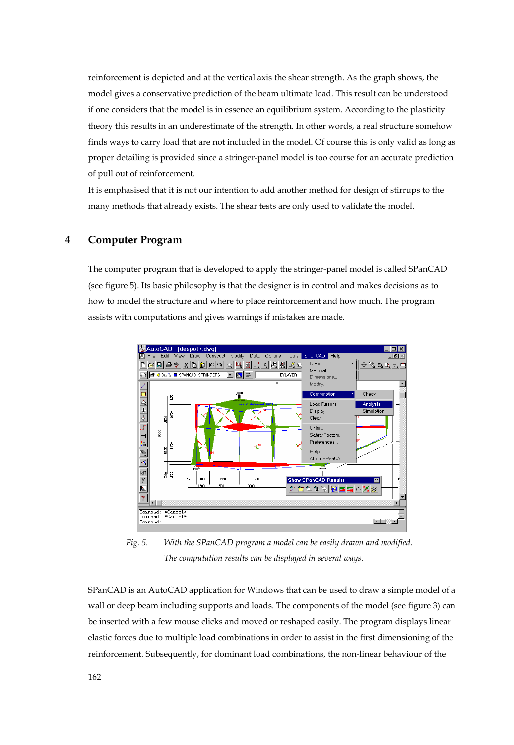reinforcement is depicted and at the vertical axis the shear strength. As the graph shows, the model gives a conservative prediction of the beam ultimate load. This result can be understood if one considers that the model is in essence an equilibrium system. According to the plasticity theory this results in an underestimate of the strength. In other words, a real structure somehow finds ways to carry load that are not included in the model. Of course this is only valid as long as proper detailing is provided since a stringer-panel model is too course for an accurate prediction of pull out of reinforcement.

It is emphasised that it is not our intention to add another method for design of stirrups to the many methods that already exists. The shear tests are only used to validate the model.

#### **4 Computer Program**

The computer program that is developed to apply the stringer-panel model is called SPanCAD (see figure 5). Its basic philosophy is that the designer is in control and makes decisions as to how to model the structure and where to place reinforcement and how much. The program assists with computations and gives warnings if mistakes are made.



*Fig. 5. With the SPanCAD program a model can be easily drawn and modified. The computation results can be displayed in several ways.* 

SPanCAD is an AutoCAD application for Windows that can be used to draw a simple model of a wall or deep beam including supports and loads. The components of the model (see figure 3) can be inserted with a few mouse clicks and moved or reshaped easily. The program displays linear elastic forces due to multiple load combinations in order to assist in the first dimensioning of the reinforcement. Subsequently, for dominant load combinations, the non-linear behaviour of the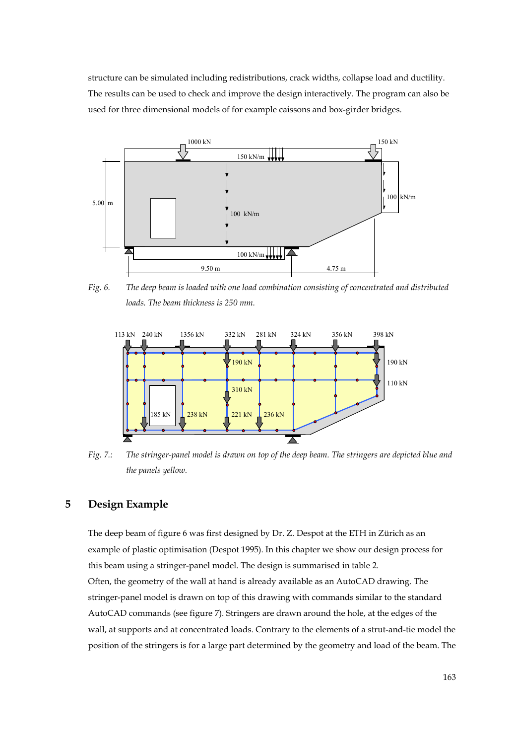structure can be simulated including redistributions, crack widths, collapse load and ductility. The results can be used to check and improve the design interactively. The program can also be used for three dimensional models of for example caissons and box-girder bridges.



*Fig. 6. The deep beam is loaded with one load combination consisting of concentrated and distributed loads. The beam thickness is 250 mm.* 



*Fig. 7.: The stringer-panel model is drawn on top of the deep beam. The stringers are depicted blue and the panels yellow.* 

### **5 Design Example**

The deep beam of figure 6 was first designed by Dr. Z. Despot at the ETH in Zürich as an example of plastic optimisation (Despot 1995). In this chapter we show our design process for this beam using a stringer-panel model. The design is summarised in table 2. Often, the geometry of the wall at hand is already available as an AutoCAD drawing. The stringer-panel model is drawn on top of this drawing with commands similar to the standard AutoCAD commands (see figure 7). Stringers are drawn around the hole, at the edges of the wall, at supports and at concentrated loads. Contrary to the elements of a strut-and-tie model the position of the stringers is for a large part determined by the geometry and load of the beam. The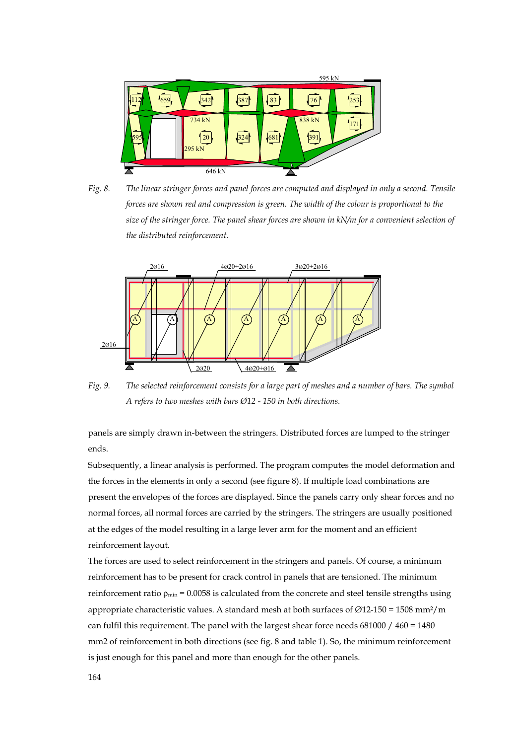

*Fig. 8. The linear stringer forces and panel forces are computed and displayed in only a second. Tensile forces are shown red and compression is green. The width of the colour is proportional to the size of the stringer force. The panel shear forces are shown in kN/m for a convenient selection of the distributed reinforcement.* 



*Fig. 9. The selected reinforcement consists for a large part of meshes and a number of bars. The symbol A refers to two meshes with bars Ø12 - 150 in both directions.* 

panels are simply drawn in-between the stringers. Distributed forces are lumped to the stringer ends.

Subsequently, a linear analysis is performed. The program computes the model deformation and the forces in the elements in only a second (see figure 8). If multiple load combinations are present the envelopes of the forces are displayed. Since the panels carry only shear forces and no normal forces, all normal forces are carried by the stringers. The stringers are usually positioned at the edges of the model resulting in a large lever arm for the moment and an efficient reinforcement layout.

The forces are used to select reinforcement in the stringers and panels. Of course, a minimum reinforcement has to be present for crack control in panels that are tensioned. The minimum reinforcement ratio  $\rho_{min} = 0.0058$  is calculated from the concrete and steel tensile strengths using appropriate characteristic values. A standard mesh at both surfaces of  $\varnothing$ 12-150 = 1508 mm<sup>2</sup>/m can fulfil this requirement. The panel with the largest shear force needs  $681000 / 460 = 1480$ mm2 of reinforcement in both directions (see fig. 8 and table 1). So, the minimum reinforcement is just enough for this panel and more than enough for the other panels.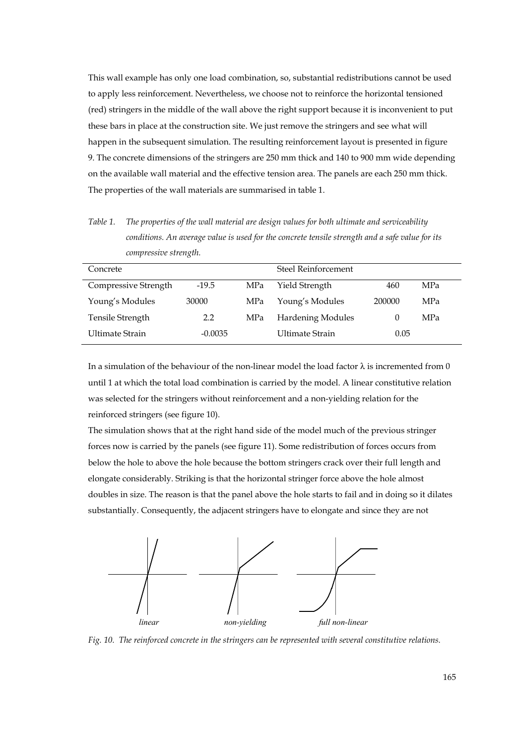This wall example has only one load combination, so, substantial redistributions cannot be used to apply less reinforcement. Nevertheless, we choose not to reinforce the horizontal tensioned (red) stringers in the middle of the wall above the right support because it is inconvenient to put these bars in place at the construction site. We just remove the stringers and see what will happen in the subsequent simulation. The resulting reinforcement layout is presented in figure 9. The concrete dimensions of the stringers are 250 mm thick and 140 to 900 mm wide depending on the available wall material and the effective tension area. The panels are each 250 mm thick. The properties of the wall materials are summarised in table 1.

*Table 1. The properties of the wall material are design values for both ultimate and serviceability conditions. An average value is used for the concrete tensile strength and a safe value for its compressive strength.* 

| Concrete               |           |     | Steel Reinforcement      |        |            |
|------------------------|-----------|-----|--------------------------|--------|------------|
|                        |           |     |                          |        |            |
| Compressive Strength   | $-19.5$   | MPa | Yield Strength           | 460    | <b>MPa</b> |
|                        |           |     |                          |        |            |
| Young's Modules        | 30000     | MPa | Young's Modules          | 200000 | MPa        |
|                        |           |     |                          |        |            |
| Tensile Strength       | 2.2       | MPa | <b>Hardening Modules</b> | 0      | MPa        |
|                        |           |     |                          |        |            |
|                        |           |     |                          |        |            |
| <b>Ultimate Strain</b> | $-0.0035$ |     | Ultimate Strain          | 0.05   |            |
|                        |           |     |                          |        |            |

In a simulation of the behaviour of the non-linear model the load factor  $\lambda$  is incremented from 0 until 1 at which the total load combination is carried by the model. A linear constitutive relation was selected for the stringers without reinforcement and a non-yielding relation for the reinforced stringers (see figure 10).

The simulation shows that at the right hand side of the model much of the previous stringer forces now is carried by the panels (see figure 11). Some redistribution of forces occurs from below the hole to above the hole because the bottom stringers crack over their full length and elongate considerably. Striking is that the horizontal stringer force above the hole almost doubles in size. The reason is that the panel above the hole starts to fail and in doing so it dilates substantially. Consequently, the adjacent stringers have to elongate and since they are not



*Fig. 10. The reinforced concrete in the stringers can be represented with several constitutive relations.*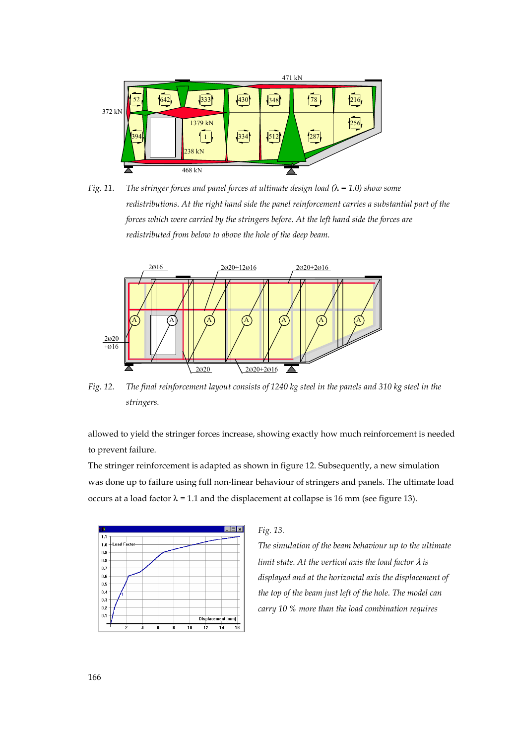

*Fig. 11. The stringer forces and panel forces at ultimate design load (*λ *= 1.0) show some redistributions. At the right hand side the panel reinforcement carries a substantial part of the forces which were carried by the stringers before. At the left hand side the forces are redistributed from below to above the hole of the deep beam.* 



*Fig. 12. The final reinforcement layout consists of 1240 kg steel in the panels and 310 kg steel in the stringers.* 

allowed to yield the stringer forces increase, showing exactly how much reinforcement is needed to prevent failure.

The stringer reinforcement is adapted as shown in figure 12. Subsequently, a new simulation was done up to failure using full non-linear behaviour of stringers and panels. The ultimate load occurs at a load factor  $\lambda$  = 1.1 and the displacement at collapse is 16 mm (see figure 13).



*Fig. 13.* 

*The simulation of the beam behaviour up to the ultimate limit state. At the vertical axis the load factor* λ *is displayed and at the horizontal axis the displacement of the top of the beam just left of the hole. The model can carry 10 % more than the load combination requires*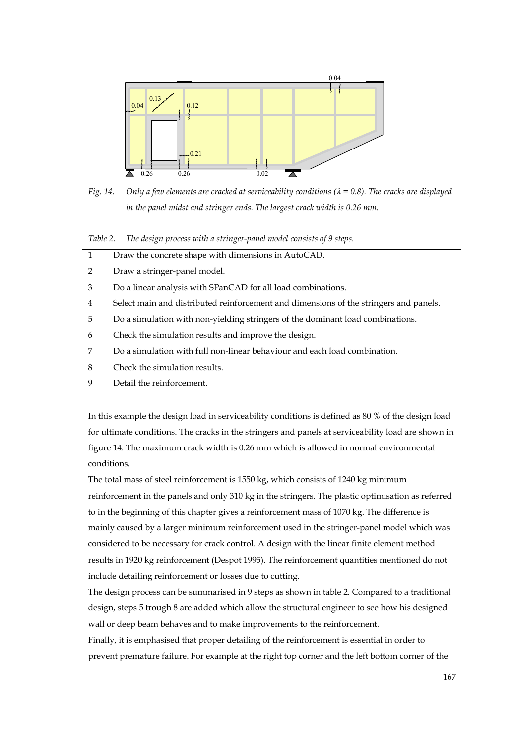

*Fig. 14. Only a few elements are cracked at serviceability conditions (*λ *= 0.8). The cracks are displayed*  in the panel midst and stringer ends. The largest crack width is 0.26 mm.

*Table 2. The design process with a stringer-panel model consists of 9 steps.*

| $\mathbf{1}$   | Draw the concrete shape with dimensions in AutoCAD.                                   |
|----------------|---------------------------------------------------------------------------------------|
| 2              | Draw a stringer-panel model.                                                          |
| 3              | Do a linear analysis with SPanCAD for all load combinations.                          |
| $\overline{4}$ | Select main and distributed reinforcement and dimensions of the stringers and panels. |
| 5              | Do a simulation with non-yielding stringers of the dominant load combinations.        |
| 6              | Check the simulation results and improve the design.                                  |
| 7              | Do a simulation with full non-linear behaviour and each load combination.             |
| 8              | Check the simulation results.                                                         |
| 9              | Detail the reinforcement.                                                             |

In this example the design load in serviceability conditions is defined as 80 % of the design load for ultimate conditions. The cracks in the stringers and panels at serviceability load are shown in figure 14. The maximum crack width is 0.26 mm which is allowed in normal environmental conditions.

The total mass of steel reinforcement is 1550 kg, which consists of 1240 kg minimum reinforcement in the panels and only 310 kg in the stringers. The plastic optimisation as referred to in the beginning of this chapter gives a reinforcement mass of 1070 kg. The difference is mainly caused by a larger minimum reinforcement used in the stringer-panel model which was considered to be necessary for crack control. A design with the linear finite element method results in 1920 kg reinforcement (Despot 1995). The reinforcement quantities mentioned do not include detailing reinforcement or losses due to cutting.

The design process can be summarised in 9 steps as shown in table 2. Compared to a traditional design, steps 5 trough 8 are added which allow the structural engineer to see how his designed wall or deep beam behaves and to make improvements to the reinforcement.

Finally, it is emphasised that proper detailing of the reinforcement is essential in order to prevent premature failure. For example at the right top corner and the left bottom corner of the